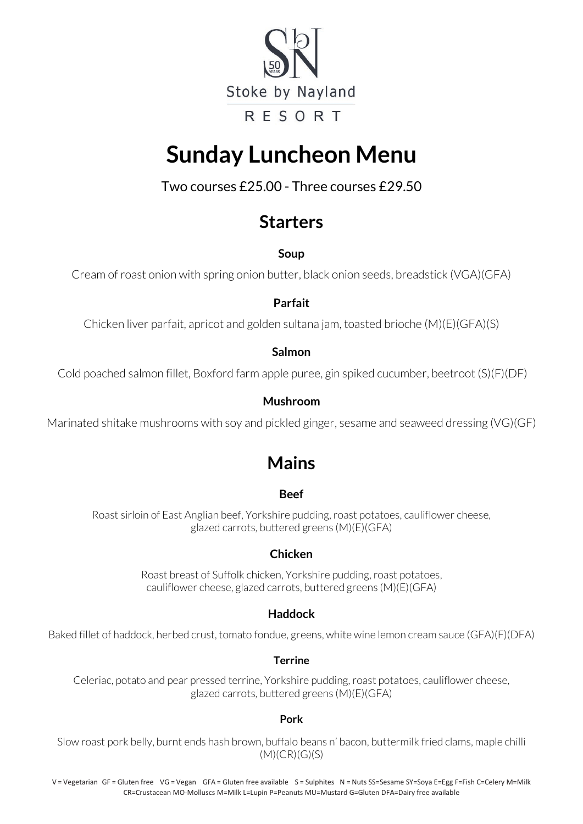

# **Sunday Luncheon Menu**

Two courses £25.00 - Three courses £29.50

## **Starters**

**Soup**

Cream of roast onion with spring onion butter, black onion seeds, breadstick (VGA)(GFA)

#### **Parfait**

Chicken liver parfait, apricot and golden sultana jam, toasted brioche (M)(E)(GFA)(S)

#### **Salmon**

Cold poached salmon fillet, Boxford farm apple puree, gin spiked cucumber, beetroot (S)(F)(DF)

#### **Mushroom**

Marinated shitake mushrooms with soy and pickled ginger, sesame and seaweed dressing (VG)(GF)

# **Mains**

#### **Beef**

Roast sirloin of East Anglian beef, Yorkshire pudding, roast potatoes, cauliflower cheese, glazed carrots, buttered greens (M)(E)(GFA)

#### **Chicken**

Roast breast of Suffolk chicken, Yorkshire pudding, roast potatoes, cauliflower cheese, glazed carrots, buttered greens (M)(E)(GFA)

#### **Haddock**

Baked fillet of haddock, herbed crust, tomato fondue, greens, white wine lemon cream sauce (GFA)(F)(DFA)

#### **Terrine**

Celeriac, potato and pear pressed terrine, Yorkshire pudding, roast potatoes, cauliflower cheese, glazed carrots, buttered greens (M)(E)(GFA)

#### **Pork**

Slow roast pork belly, burnt ends hash brown, buffalo beans n' bacon, buttermilk fried clams, maple chilli (M)(CR)(G)(S)

V = Vegetarian GF = Gluten free VG = Vegan GFA = Gluten free available S = Sulphites N = Nuts SS=Sesame SY=Soya E=Egg F=Fish C=Celery M=Milk CR=Crustacean MO-Molluscs M=Milk L=Lupin P=Peanuts MU=Mustard G=Gluten DFA=Dairy free available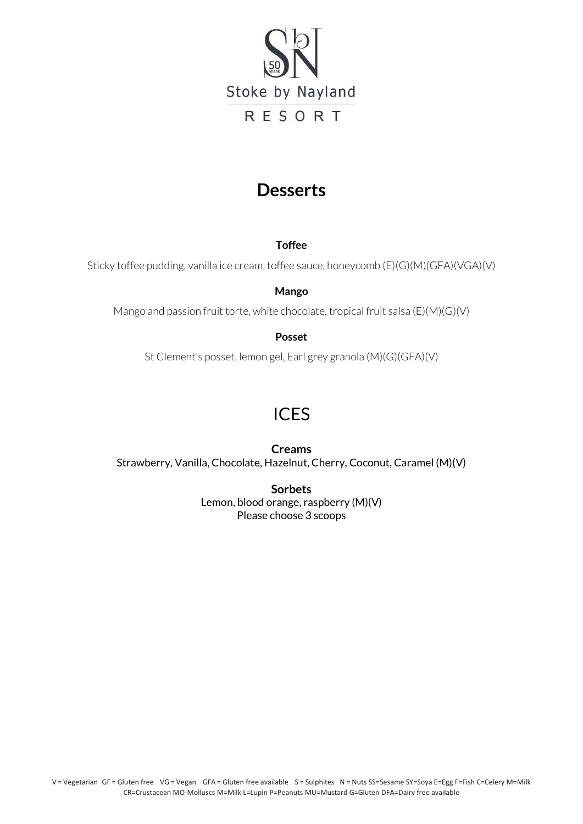

### **Desserts**

**Toffee**

Sticky toffee pudding, vanilla ice cream, toffee sauce, honeycomb (E)(G)(M)(GFA)(VGA)(V)

**Mango**

Mango and passion fruit torte, white chocolate, tropical fruit salsa (E)(M)(G)(V)

#### **Posset**

St Clement's posset, lemon gel, Earl grey granola (M)(G)(GFA)(V)

### ICES

**Creams** Strawberry, Vanilla, Chocolate, Hazelnut, Cherry, Coconut, Caramel (M)(V)

> **Sorbets** Lemon, blood orange, raspberry (M)(V) Please choose 3 scoops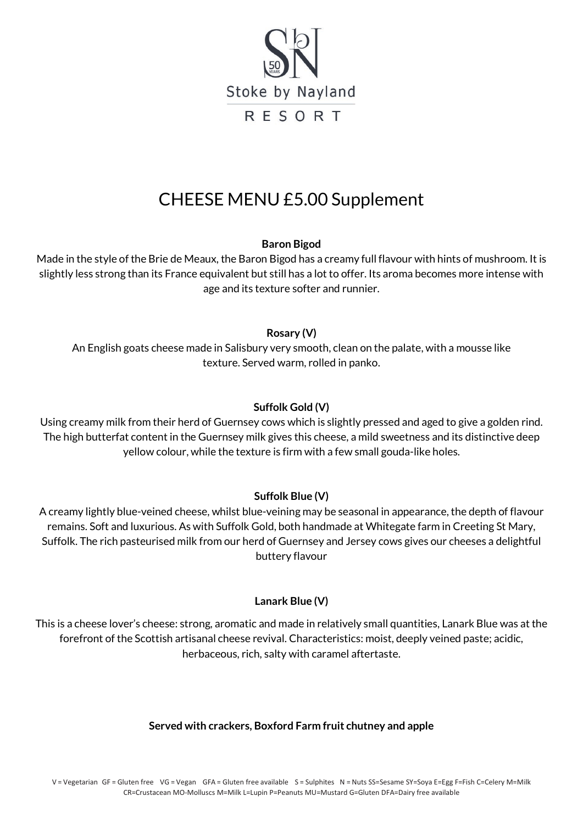

# CHEESE MENU £5.00 Supplement

**Baron Bigod**

Made in the style of the Brie de Meaux, the Baron Bigod has a creamy full flavour with hints of mushroom. It is slightly less strong than its France equivalent but still has a lot to offer. Its aroma becomes more intense with age and its texture softer and runnier.

#### **Rosary (V)**

An English goats cheese made in Salisbury very smooth, clean on the palate, with a mousse like texture. Served warm, rolled in panko.

#### **Suffolk Gold (V)**

Using creamy milk from their herd of Guernsey cows which is slightly pressed and aged to give a golden rind. The high butterfat content in the Guernsey milk gives this cheese, a mild sweetness and its distinctive deep yellow colour, while the texture is firm with a few small gouda-like holes.

#### **Suffolk Blue (V)**

A creamy lightly blue-veined cheese, whilst blue-veining may be seasonal in appearance, the depth of flavour remains. Soft and luxurious. As with Suffolk Gold, both handmade at Whitegate farm in Creeting St Mary, Suffolk. The rich pasteurised milk from our herd of Guernsey and Jersey cows gives our cheeses a delightful buttery flavour

#### **Lanark Blue (V)**

This is a cheese lover's cheese: strong, aromatic and made in relatively small quantities, Lanark Blue was at the forefront of the Scottish artisanal cheese revival. Characteristics: moist, deeply veined paste; acidic, herbaceous, rich, salty with caramel aftertaste.

#### **Served with crackers, Boxford Farm fruit chutney and apple**